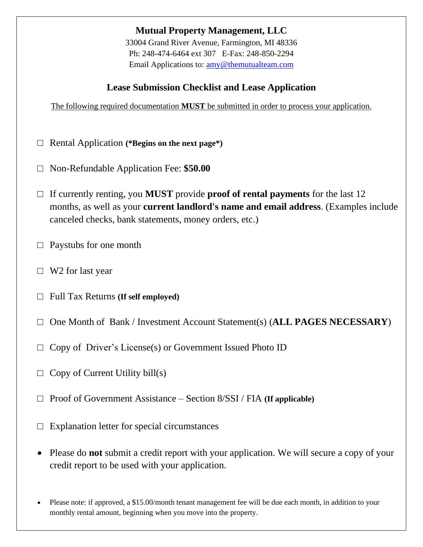**Mutual Property Management, LLC**

33004 Grand River Avenue, Farmington, MI 48336 Ph: 248-474-6464 ext 307 E-Fax: 248-850-2294 Email Applications to: [amy@themutualteam.com](mailto:deborah@themutualteam.com)

## **Lease Submission Checklist and Lease Application**

The following required documentation **MUST** be submitted in order to process your application.

- □ Rental Application **(\*Begins on the next page\*)**
- □ Non-Refundable Application Fee: **\$50.00**
- □ If currently renting, you **MUST** provide **proof of rental payments** for the last 12 months, as well as your **current landlord's name and email address**. (Examples include canceled checks, bank statements, money orders, etc.)
- $\Box$  Paystubs for one month
- $\Box$  W2 for last year
- □ Full Tax Returns **(If self employed)**
- □ One Month of Bank / Investment Account Statement(s) (**ALL PAGES NECESSARY**)
- $\Box$  Copy of Driver's License(s) or Government Issued Photo ID
- $\Box$  Copy of Current Utility bill(s)
- □ Proof of Government Assistance Section 8/SSI / FIA **(If applicable)**
- $\Box$  Explanation letter for special circumstances
- Please do **not** submit a credit report with your application. We will secure a copy of your credit report to be used with your application.
- Please note: if approved, a \$15.00/month tenant management fee will be due each month, in addition to your monthly rental amount, beginning when you move into the property.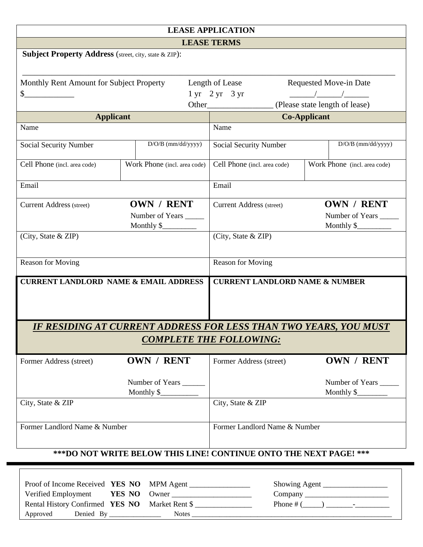| <b>LEASE APPLICATION</b>                                                                                                            |                                                |                                                                         |                                                                                                                                                                                                                                                                                                                     |  |  |
|-------------------------------------------------------------------------------------------------------------------------------------|------------------------------------------------|-------------------------------------------------------------------------|---------------------------------------------------------------------------------------------------------------------------------------------------------------------------------------------------------------------------------------------------------------------------------------------------------------------|--|--|
| <b>LEASE TERMS</b>                                                                                                                  |                                                |                                                                         |                                                                                                                                                                                                                                                                                                                     |  |  |
| <b>Subject Property Address</b> (street, city, state & ZIP):                                                                        |                                                |                                                                         |                                                                                                                                                                                                                                                                                                                     |  |  |
|                                                                                                                                     |                                                |                                                                         |                                                                                                                                                                                                                                                                                                                     |  |  |
| Monthly Rent Amount for Subject Property                                                                                            |                                                | Length of Lease                                                         | Requested Move-in Date                                                                                                                                                                                                                                                                                              |  |  |
| $\frac{1}{2}$                                                                                                                       |                                                | $1 \text{ yr}$ $2 \text{ yr}$ $3 \text{ yr}$                            | $\frac{1}{2}$ $\frac{1}{2}$ $\frac{1}{2}$ $\frac{1}{2}$ $\frac{1}{2}$ $\frac{1}{2}$ $\frac{1}{2}$ $\frac{1}{2}$ $\frac{1}{2}$ $\frac{1}{2}$ $\frac{1}{2}$ $\frac{1}{2}$ $\frac{1}{2}$ $\frac{1}{2}$ $\frac{1}{2}$ $\frac{1}{2}$ $\frac{1}{2}$ $\frac{1}{2}$ $\frac{1}{2}$ $\frac{1}{2}$ $\frac{1}{2}$ $\frac{1}{2}$ |  |  |
|                                                                                                                                     |                                                |                                                                         | (Please state length of lease)                                                                                                                                                                                                                                                                                      |  |  |
| <b>Applicant</b>                                                                                                                    |                                                |                                                                         | <b>Co-Applicant</b>                                                                                                                                                                                                                                                                                                 |  |  |
| Name                                                                                                                                |                                                | Name                                                                    |                                                                                                                                                                                                                                                                                                                     |  |  |
| Social Security Number                                                                                                              | D/O/B (mm/dd/yyyy)                             | Social Security Number                                                  | D/O/B (mm/dd/yyyy)                                                                                                                                                                                                                                                                                                  |  |  |
| Cell Phone (incl. area code)                                                                                                        | Work Phone (incl. area code)                   | Cell Phone (incl. area code)                                            | Work Phone (incl. area code)                                                                                                                                                                                                                                                                                        |  |  |
| Email                                                                                                                               |                                                | Email                                                                   |                                                                                                                                                                                                                                                                                                                     |  |  |
| <b>Current Address (street)</b>                                                                                                     | OWN / RENT                                     | <b>Current Address</b> (street)                                         | OWN / RENT                                                                                                                                                                                                                                                                                                          |  |  |
|                                                                                                                                     | Number of Years _____                          |                                                                         | Number of Years ______                                                                                                                                                                                                                                                                                              |  |  |
|                                                                                                                                     | Monthly \$                                     |                                                                         | Monthly $\frac{1}{2}$ Monthly $\frac{1}{2}$                                                                                                                                                                                                                                                                         |  |  |
| (City, State & ZIP)                                                                                                                 |                                                | (City, State & ZIP)                                                     |                                                                                                                                                                                                                                                                                                                     |  |  |
| <b>Reason for Moving</b>                                                                                                            |                                                | <b>Reason for Moving</b>                                                |                                                                                                                                                                                                                                                                                                                     |  |  |
| <b>CURRENT LANDLORD NAME &amp; EMAIL ADDRESS</b>                                                                                    |                                                | <b>CURRENT LANDLORD NAME &amp; NUMBER</b>                               |                                                                                                                                                                                                                                                                                                                     |  |  |
|                                                                                                                                     |                                                | <u>IF RESIDING AT CURRENT ADDRESS FOR LESS THAN TWO YEARS, YOU MUST</u> |                                                                                                                                                                                                                                                                                                                     |  |  |
|                                                                                                                                     |                                                | <b>COMPLETE THE FOLLOWING:</b>                                          |                                                                                                                                                                                                                                                                                                                     |  |  |
| Former Address (street)                                                                                                             | OWN / RENT                                     | Former Address (street)                                                 | OWN / RENT                                                                                                                                                                                                                                                                                                          |  |  |
|                                                                                                                                     | Number of Years _____<br>Monthly \$            |                                                                         | Number of Years<br>Monthly $\frac{\sqrt{2}}{2}$                                                                                                                                                                                                                                                                     |  |  |
| City, State & ZIP                                                                                                                   |                                                | City, State & ZIP                                                       |                                                                                                                                                                                                                                                                                                                     |  |  |
|                                                                                                                                     |                                                |                                                                         |                                                                                                                                                                                                                                                                                                                     |  |  |
| Former Landlord Name & Number                                                                                                       |                                                | Former Landlord Name & Number                                           |                                                                                                                                                                                                                                                                                                                     |  |  |
| *** DO NOT WRITE BELOW THIS LINE! CONTINUE ONTO THE NEXT PAGE! ***                                                                  |                                                |                                                                         |                                                                                                                                                                                                                                                                                                                     |  |  |
|                                                                                                                                     |                                                |                                                                         |                                                                                                                                                                                                                                                                                                                     |  |  |
| Proof of Income Received YES NO<br>Verified Employment<br>Rental History Confirmed YES NO<br>Approved<br>Denied By ________________ | MPM Agent<br>YES NO<br>Owner<br>Market Rent \$ | Notes                                                                   | Showing Agent                                                                                                                                                                                                                                                                                                       |  |  |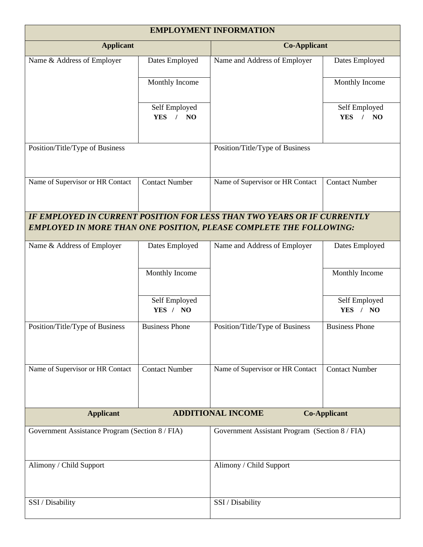| <b>EMPLOYMENT INFORMATION</b>                   |                                                             |                                                                           |                                   |  |  |
|-------------------------------------------------|-------------------------------------------------------------|---------------------------------------------------------------------------|-----------------------------------|--|--|
| <b>Applicant</b>                                |                                                             |                                                                           | <b>Co-Applicant</b>               |  |  |
| Name & Address of Employer                      | Dates Employed                                              | Name and Address of Employer                                              | Dates Employed                    |  |  |
|                                                 | Monthly Income                                              |                                                                           | Monthly Income                    |  |  |
|                                                 | Self Employed<br>N <sub>O</sub><br><b>YES</b><br>$\sqrt{ }$ |                                                                           | Self Employed<br><b>YES</b><br>NO |  |  |
| Position/Title/Type of Business                 |                                                             | Position/Title/Type of Business                                           |                                   |  |  |
| Name of Supervisor or HR Contact                | <b>Contact Number</b>                                       | Name of Supervisor or HR Contact                                          | <b>Contact Number</b>             |  |  |
|                                                 |                                                             | IF EMPLOYED IN CURRENT POSITION FOR LESS THAN TWO YEARS OR IF CURRENTLY   |                                   |  |  |
|                                                 |                                                             | <b>EMPLOYED IN MORE THAN ONE POSITION, PLEASE COMPLETE THE FOLLOWING:</b> |                                   |  |  |
| Name & Address of Employer                      | Dates Employed                                              | Name and Address of Employer                                              | Dates Employed                    |  |  |
|                                                 | Monthly Income                                              |                                                                           | Monthly Income                    |  |  |
|                                                 | Self Employed<br>YES / NO                                   |                                                                           | Self Employed<br>YES / NO         |  |  |
| Position/Title/Type of Business                 | <b>Business Phone</b>                                       | Position/Title/Type of Business                                           | <b>Business Phone</b>             |  |  |
| Name of Supervisor or HR Contact                | <b>Contact Number</b>                                       | Name of Supervisor or HR Contact                                          | <b>Contact Number</b>             |  |  |
| <b>Applicant</b>                                |                                                             | <b>ADDITIONAL INCOME</b>                                                  | <b>Co-Applicant</b>               |  |  |
| Government Assistance Program (Section 8 / FIA) |                                                             | Government Assistant Program (Section 8/FIA)                              |                                   |  |  |
| Alimony / Child Support                         |                                                             | Alimony / Child Support                                                   |                                   |  |  |
| SSI / Disability                                |                                                             | SSI / Disability                                                          |                                   |  |  |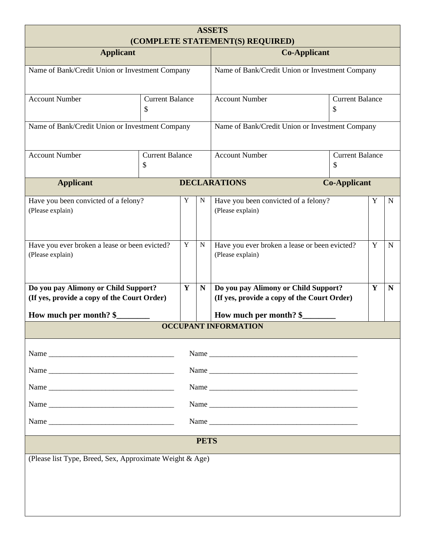| <b>ASSETS</b><br>(COMPLETE STATEMENT(S) REQUIRED)                                   |                              |   |                                                 |                                                                                     |                              |   |             |  |
|-------------------------------------------------------------------------------------|------------------------------|---|-------------------------------------------------|-------------------------------------------------------------------------------------|------------------------------|---|-------------|--|
| <b>Applicant</b>                                                                    |                              |   | <b>Co-Applicant</b>                             |                                                                                     |                              |   |             |  |
| Name of Bank/Credit Union or Investment Company                                     |                              |   | Name of Bank/Credit Union or Investment Company |                                                                                     |                              |   |             |  |
| <b>Account Number</b>                                                               | <b>Current Balance</b><br>\$ |   |                                                 | <b>Account Number</b>                                                               | <b>Current Balance</b><br>\$ |   |             |  |
| Name of Bank/Credit Union or Investment Company                                     |                              |   |                                                 | Name of Bank/Credit Union or Investment Company                                     |                              |   |             |  |
| <b>Account Number</b>                                                               | <b>Current Balance</b><br>\$ |   |                                                 | <b>Account Number</b><br><b>Current Balance</b><br>\$                               |                              |   |             |  |
| <b>Applicant</b>                                                                    |                              |   |                                                 | <b>DECLARATIONS</b>                                                                 | <b>Co-Applicant</b>          |   |             |  |
| Have you been convicted of a felony?<br>(Please explain)                            |                              | Y | N                                               | Have you been convicted of a felony?<br>(Please explain)                            |                              | Y | $\mathbf N$ |  |
| Have you ever broken a lease or been evicted?<br>(Please explain)                   |                              | Y | N                                               | Have you ever broken a lease or been evicted?<br>(Please explain)                   |                              | Y | $\mathbf N$ |  |
| Do you pay Alimony or Child Support?<br>(If yes, provide a copy of the Court Order) |                              | Y | N                                               | Do you pay Alimony or Child Support?<br>(If yes, provide a copy of the Court Order) |                              | Y | $\mathbf N$ |  |
| How much per month? \$                                                              |                              |   |                                                 | How much per month? \$<br><b>OCCUPANT INFORMATION</b>                               |                              |   |             |  |
|                                                                                     |                              |   |                                                 |                                                                                     |                              |   |             |  |
|                                                                                     |                              |   |                                                 |                                                                                     |                              |   |             |  |
|                                                                                     |                              |   |                                                 | Name                                                                                |                              |   |             |  |
|                                                                                     |                              |   |                                                 |                                                                                     |                              |   |             |  |
|                                                                                     |                              |   |                                                 | Name                                                                                |                              |   |             |  |
|                                                                                     |                              |   | Name                                            |                                                                                     |                              |   |             |  |
|                                                                                     |                              |   | <b>PETS</b>                                     |                                                                                     |                              |   |             |  |
| (Please list Type, Breed, Sex, Approximate Weight & Age)                            |                              |   |                                                 |                                                                                     |                              |   |             |  |
|                                                                                     |                              |   |                                                 |                                                                                     |                              |   |             |  |
|                                                                                     |                              |   |                                                 |                                                                                     |                              |   |             |  |
|                                                                                     |                              |   |                                                 |                                                                                     |                              |   |             |  |